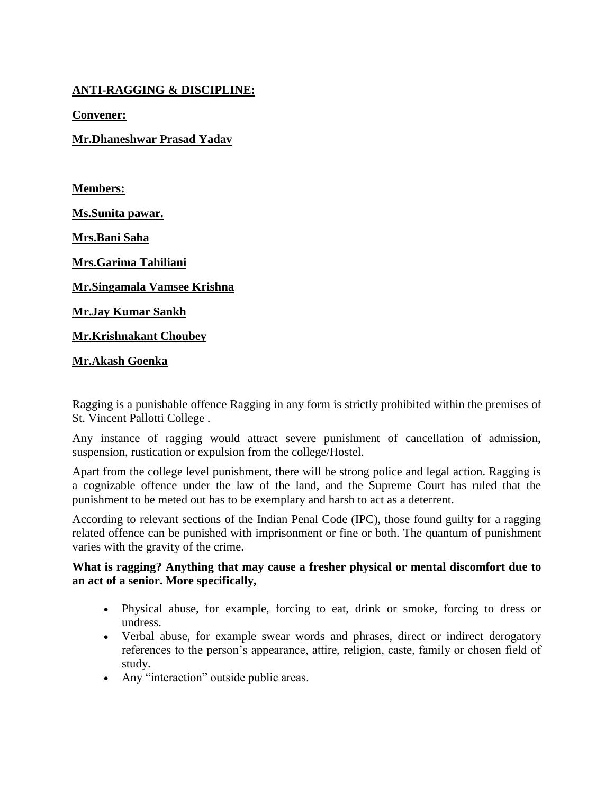### **ANTI-RAGGING & DISCIPLINE:**

**Convener:**

**Mr.Dhaneshwar Prasad Yadav**

**Members:**

**Ms.Sunita pawar.**

**Mrs.Bani Saha**

**Mrs.Garima Tahiliani**

**Mr.Singamala Vamsee Krishna**

**Mr.Jay Kumar Sankh**

**Mr.Krishnakant Choubey**

#### **Mr.Akash Goenka**

Ragging is a punishable offence Ragging in any form is strictly prohibited within the premises of St. Vincent Pallotti College .

Any instance of ragging would attract severe punishment of cancellation of admission, suspension, rustication or expulsion from the college/Hostel.

Apart from the college level punishment, there will be strong police and legal action. Ragging is a cognizable offence under the law of the land, and the Supreme Court has ruled that the punishment to be meted out has to be exemplary and harsh to act as a deterrent.

According to relevant sections of the Indian Penal Code (IPC), those found guilty for a ragging related offence can be punished with imprisonment or fine or both. The quantum of punishment varies with the gravity of the crime.

### **What is ragging? Anything that may cause a fresher physical or mental discomfort due to an act of a senior. More specifically,**

- Physical abuse, for example, forcing to eat, drink or smoke, forcing to dress or undress.
- Verbal abuse, for example swear words and phrases, direct or indirect derogatory references to the person's appearance, attire, religion, caste, family or chosen field of study.
- Any "interaction" outside public areas.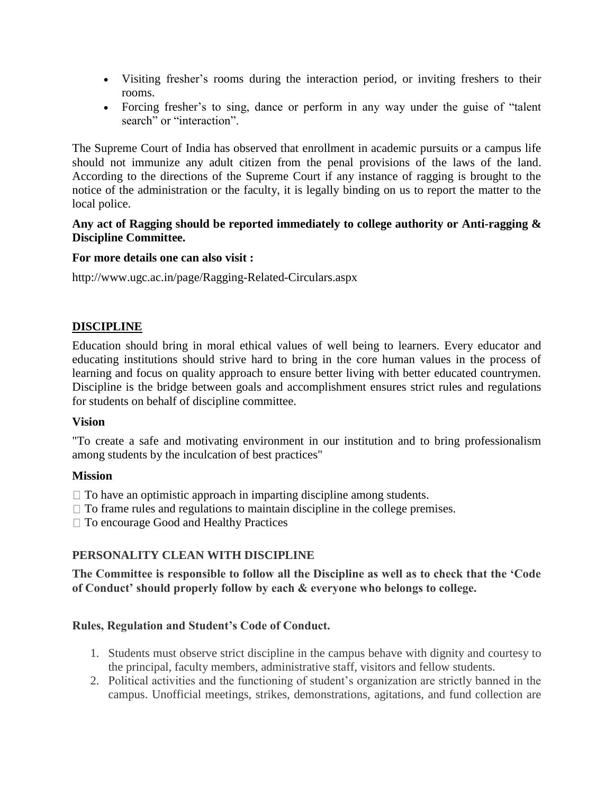- Visiting fresher's rooms during the interaction period, or inviting freshers to their rooms.
- Forcing fresher's to sing, dance or perform in any way under the guise of "talent search" or "interaction".

The Supreme Court of India has observed that enrollment in academic pursuits or a campus life should not immunize any adult citizen from the penal provisions of the laws of the land. According to the directions of the Supreme Court if any instance of ragging is brought to the notice of the administration or the faculty, it is legally binding on us to report the matter to the local police.

#### **Any act of Ragging should be reported immediately to college authority or Anti-ragging & Discipline Committee.**

### **For more details one can also visit :**

http://www.ugc.ac.in/page/Ragging-Related-Circulars.aspx

#### **DISCIPLINE**

Education should bring in moral ethical values of well being to learners. Every educator and educating institutions should strive hard to bring in the core human values in the process of learning and focus on quality approach to ensure better living with better educated countrymen. Discipline is the bridge between goals and accomplishment ensures strict rules and regulations for students on behalf of discipline committee.

#### **Vision**

"To create a safe and motivating environment in our institution and to bring professionalism among students by the inculcation of best practices"

#### **Mission**

 $\Box$  To have an optimistic approach in imparting discipline among students.

 $\Box$  To frame rules and regulations to maintain discipline in the college premises.

□ To encourage Good and Healthy Practices

### **PERSONALITY CLEAN WITH DISCIPLINE**

**The Committee is responsible to follow all the Discipline as well as to check that the 'Code of Conduct' should properly follow by each & everyone who belongs to college.**

### **Rules, Regulation and Student's Code of Conduct.**

- 1. Students must observe strict discipline in the campus behave with dignity and courtesy to the principal, faculty members, administrative staff, visitors and fellow students.
- 2. Political activities and the functioning of student's organization are strictly banned in the campus. Unofficial meetings, strikes, demonstrations, agitations, and fund collection are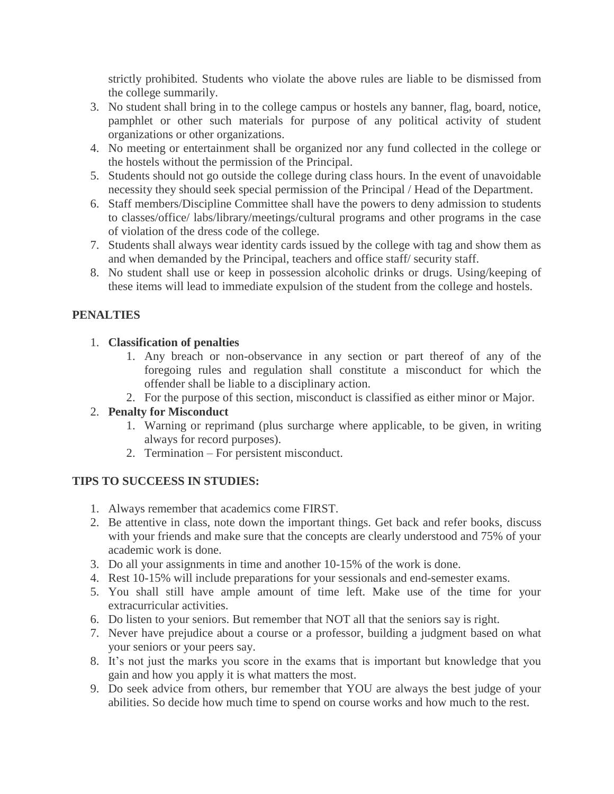strictly prohibited. Students who violate the above rules are liable to be dismissed from the college summarily.

- 3. No student shall bring in to the college campus or hostels any banner, flag, board, notice, pamphlet or other such materials for purpose of any political activity of student organizations or other organizations.
- 4. No meeting or entertainment shall be organized nor any fund collected in the college or the hostels without the permission of the Principal.
- 5. Students should not go outside the college during class hours. In the event of unavoidable necessity they should seek special permission of the Principal / Head of the Department.
- 6. Staff members/Discipline Committee shall have the powers to deny admission to students to classes/office/ labs/library/meetings/cultural programs and other programs in the case of violation of the dress code of the college.
- 7. Students shall always wear identity cards issued by the college with tag and show them as and when demanded by the Principal, teachers and office staff/ security staff.
- 8. No student shall use or keep in possession alcoholic drinks or drugs. Using/keeping of these items will lead to immediate expulsion of the student from the college and hostels.

# **PENALTIES**

### 1. **Classification of penalties**

- 1. Any breach or non-observance in any section or part thereof of any of the foregoing rules and regulation shall constitute a misconduct for which the offender shall be liable to a disciplinary action.
- 2. For the purpose of this section, misconduct is classified as either minor or Major.

# 2. **Penalty for Misconduct**

- 1. Warning or reprimand (plus surcharge where applicable, to be given, in writing always for record purposes).
- 2. Termination For persistent misconduct.

# **TIPS TO SUCCEESS IN STUDIES:**

- 1. Always remember that academics come FIRST.
- 2. Be attentive in class, note down the important things. Get back and refer books, discuss with your friends and make sure that the concepts are clearly understood and 75% of your academic work is done.
- 3. Do all your assignments in time and another 10-15% of the work is done.
- 4. Rest 10-15% will include preparations for your sessionals and end-semester exams.
- 5. You shall still have ample amount of time left. Make use of the time for your extracurricular activities.
- 6. Do listen to your seniors. But remember that NOT all that the seniors say is right.
- 7. Never have prejudice about a course or a professor, building a judgment based on what your seniors or your peers say.
- 8. It's not just the marks you score in the exams that is important but knowledge that you gain and how you apply it is what matters the most.
- 9. Do seek advice from others, bur remember that YOU are always the best judge of your abilities. So decide how much time to spend on course works and how much to the rest.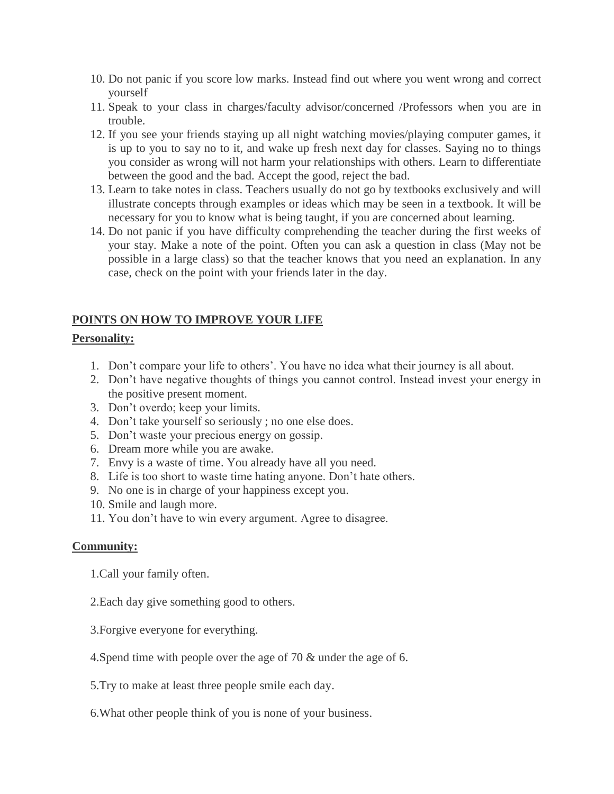- 10. Do not panic if you score low marks. Instead find out where you went wrong and correct yourself
- 11. Speak to your class in charges/faculty advisor/concerned /Professors when you are in trouble.
- 12. If you see your friends staying up all night watching movies/playing computer games, it is up to you to say no to it, and wake up fresh next day for classes. Saying no to things you consider as wrong will not harm your relationships with others. Learn to differentiate between the good and the bad. Accept the good, reject the bad.
- 13. Learn to take notes in class. Teachers usually do not go by textbooks exclusively and will illustrate concepts through examples or ideas which may be seen in a textbook. It will be necessary for you to know what is being taught, if you are concerned about learning.
- 14. Do not panic if you have difficulty comprehending the teacher during the first weeks of your stay. Make a note of the point. Often you can ask a question in class (May not be possible in a large class) so that the teacher knows that you need an explanation. In any case, check on the point with your friends later in the day.

# **POINTS ON HOW TO IMPROVE YOUR LIFE**

### **Personality:**

- 1. Don't compare your life to others'. You have no idea what their journey is all about.
- 2. Don't have negative thoughts of things you cannot control. Instead invest your energy in the positive present moment.
- 3. Don't overdo; keep your limits.
- 4. Don't take yourself so seriously ; no one else does.
- 5. Don't waste your precious energy on gossip.
- 6. Dream more while you are awake.
- 7. Envy is a waste of time. You already have all you need.
- 8. Life is too short to waste time hating anyone. Don't hate others.
- 9. No one is in charge of your happiness except you.
- 10. Smile and laugh more.
- 11. You don't have to win every argument. Agree to disagree.

# **Community:**

- 1.Call your family often.
- 2.Each day give something good to others.
- 3.Forgive everyone for everything.
- 4.Spend time with people over the age of 70 & under the age of 6.
- 5.Try to make at least three people smile each day.
- 6.What other people think of you is none of your business.